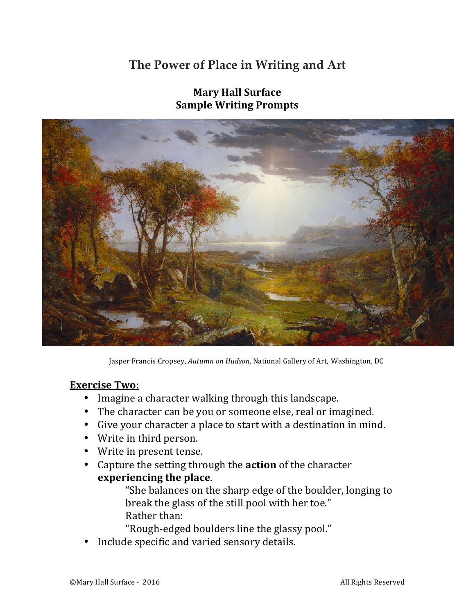# **The Power of Place in Writing and Art**



**Mary Hall Surface Sample Writing Prompts** 

Jasper Francis Cropsey, Autumn on Hudson, National Gallery of Art, Washington, DC

#### **Exercise Two:**

- Imagine a character walking through this landscape.
- The character can be you or someone else, real or imagined.
- Give your character a place to start with a destination in mind.
- Write in third person.
- Write in present tense.
- Capture the setting through the **action** of the character **experiencing the place.**

"She balances on the sharp edge of the boulder, longing to break the glass of the still pool with her toe." Rather than:

"Rough-edged boulders line the glassy pool."

Include specific and varied sensory details.